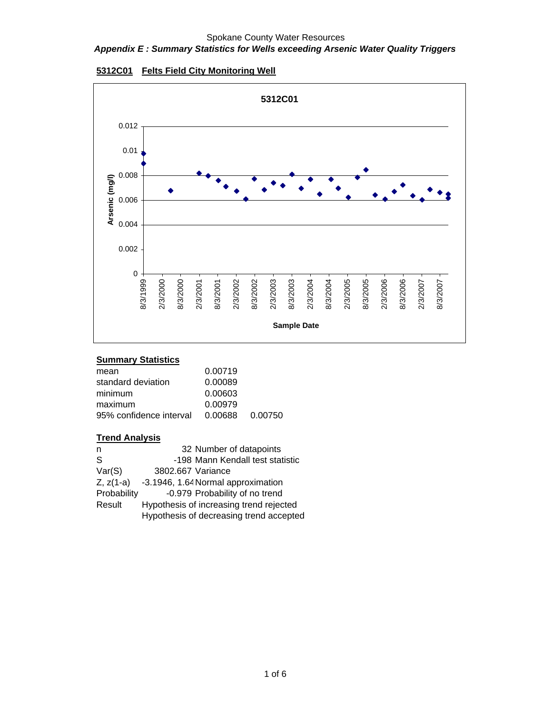## *Appendix E : Summary Statistics for Wells exceeding Arsenic Water Quality Triggers*



## **5312C01 Felts Field City Monitoring Well**

## **Summary Statistics**

| mean                    | 0.00719         |  |
|-------------------------|-----------------|--|
| standard deviation      | 0.00089         |  |
| minimum                 | 0.00603         |  |
| maximum                 | 0.00979         |  |
| 95% confidence interval | 0.00688 0.00750 |  |

| n            | 32 Number of datapoints                 |
|--------------|-----------------------------------------|
| <sub>S</sub> | -198 Mann Kendall test statistic        |
| Var(S)       | 3802.667 Variance                       |
| $Z, z(1-a)$  | -3.1946, 1.64 Normal approximation      |
| Probability  | -0.979 Probability of no trend          |
| Result       | Hypothesis of increasing trend rejected |
|              | Hypothesis of decreasing trend accepted |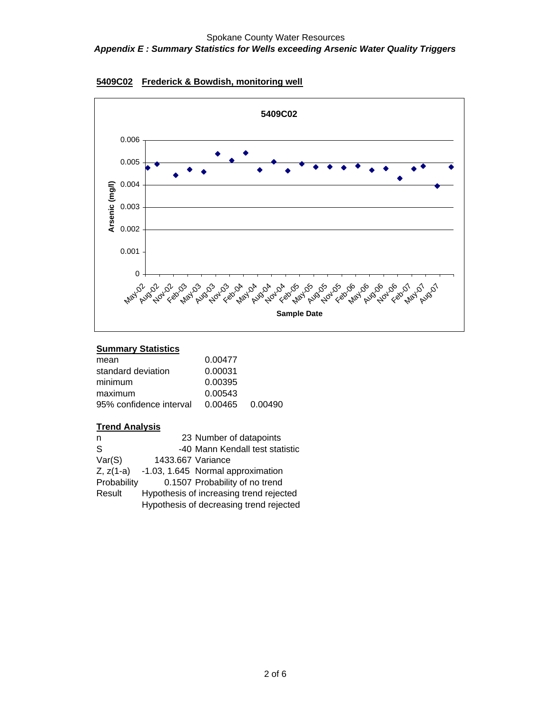



# **Summary Statistics**

| mean                    | 0.00477         |  |
|-------------------------|-----------------|--|
| standard deviation      | 0.00031         |  |
| minimum                 | 0.00395         |  |
| maximum                 | 0.00543         |  |
| 95% confidence interval | 0.00465 0.00490 |  |
|                         |                 |  |

| n           |                   | 23 Number of datapoints                 |
|-------------|-------------------|-----------------------------------------|
| S           |                   | -40 Mann Kendall test statistic         |
| Var(S)      | 1433.667 Variance |                                         |
| $Z, z(1-a)$ |                   | -1.03, 1.645 Normal approximation       |
| Probability |                   | 0.1507 Probability of no trend          |
| Result      |                   | Hypothesis of increasing trend rejected |
|             |                   | Hypothesis of decreasing trend rejected |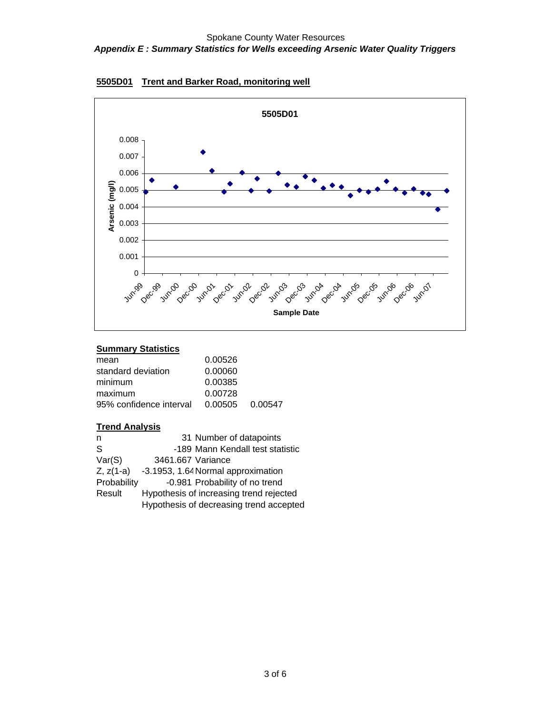



# **Summary Statistics**

| mean                    | 0.00526         |  |
|-------------------------|-----------------|--|
| standard deviation      | 0.00060         |  |
| minimum                 | 0.00385         |  |
| maximum                 | 0.00728         |  |
| 95% confidence interval | 0.00505 0.00547 |  |
|                         |                 |  |

| n              | 31 Number of datapoints                 |
|----------------|-----------------------------------------|
| S              | -189 Mann Kendall test statistic        |
| Var(S)         | 3461.667 Variance                       |
| $Z$ , $z(1-a)$ | -3.1953, 1.64 Normal approximation      |
| Probability    | -0.981 Probability of no trend          |
| Result         | Hypothesis of increasing trend rejected |
|                | Hypothesis of decreasing trend accepted |
|                |                                         |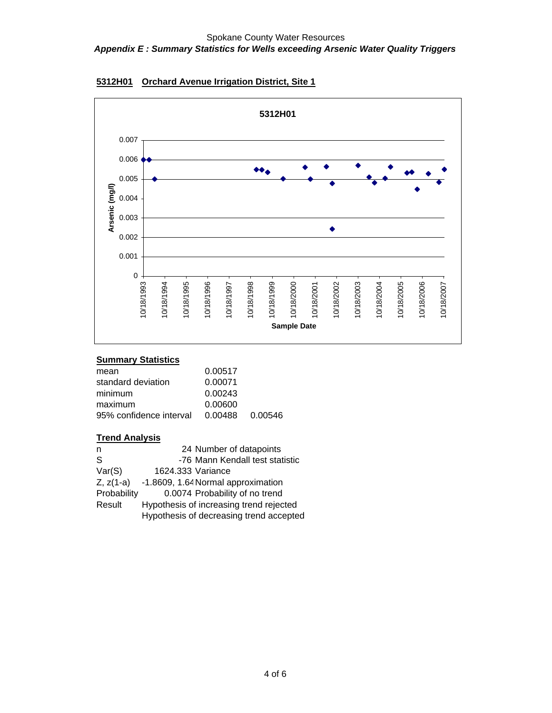

# **5312H01 Orchard Avenue Irrigation District, Site 1**

## **Summary Statistics**

| mean                    | 0.00517         |  |
|-------------------------|-----------------|--|
| standard deviation      | 0.00071         |  |
| minimum                 | 0.00243         |  |
| maximum                 | 0.00600         |  |
| 95% confidence interval | 0.00488 0.00546 |  |

| n              | 24 Number of datapoints                 |
|----------------|-----------------------------------------|
| <sub>S</sub>   | -76 Mann Kendall test statistic         |
| Var(S)         | 1624.333 Variance                       |
| $Z$ , $z(1-a)$ | -1.8609, 1.64 Normal approximation      |
| Probability    | 0.0074 Probability of no trend          |
| Result         | Hypothesis of increasing trend rejected |
|                | Hypothesis of decreasing trend accepted |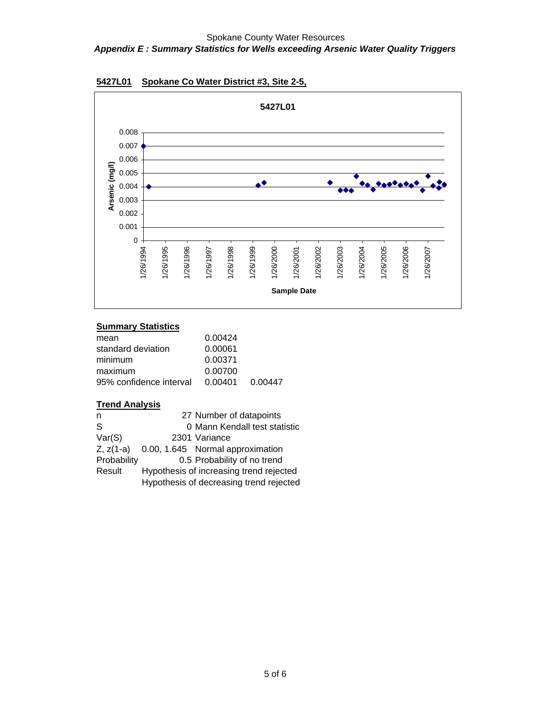

## **5427L01 Spokane Co Water District #3, Site 2-5,**

## **Summary Statistics**

| 0.00447 |
|---------|
|         |

| n           | 27 Number of datapoints                 |
|-------------|-----------------------------------------|
| S           | 0 Mann Kendall test statistic           |
| Var(S)      | 2301 Variance                           |
| $Z, z(1-a)$ | 0.00, 1.645 Normal approximation        |
| Probability | 0.5 Probability of no trend             |
| Result      | Hypothesis of increasing trend rejected |
|             | Hypothesis of decreasing trend rejected |